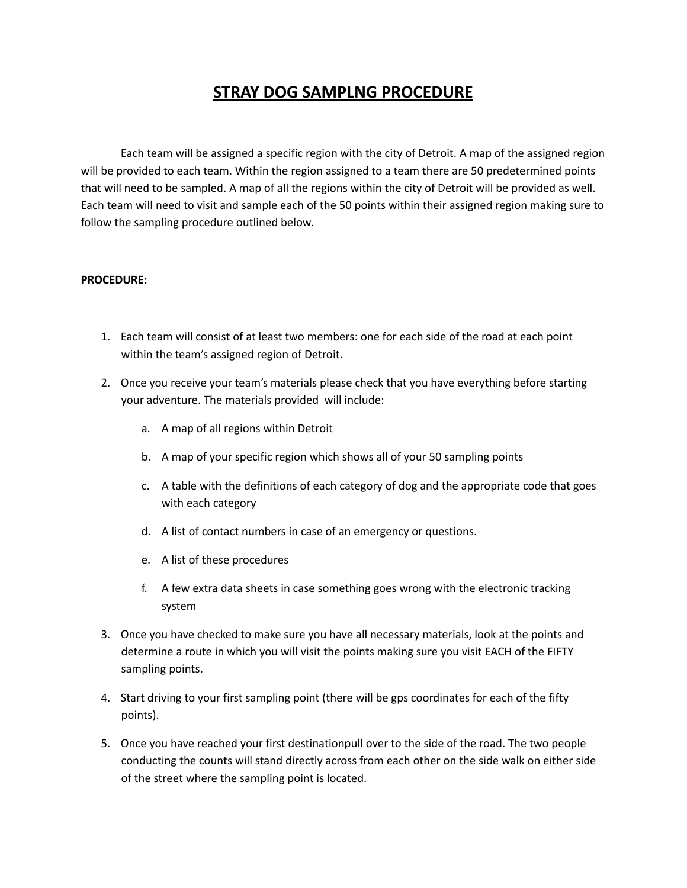## **STRAY DOG SAMPLNG PROCEDURE**

Each team will be assigned a specific region with the city of Detroit. A map of the assigned region will be provided to each team. Within the region assigned to a team there are 50 predetermined points that will need to be sampled. A map of all the regions within the city of Detroit will be provided as well. Each team will need to visit and sample each of the 50 points within their assigned region making sure to follow the sampling procedure outlined below.

## **PROCEDURE:**

- 1. Each team will consist of at least two members: one for each side of the road at each point within the team's assigned region of Detroit.
- 2. Once you receive your team's materials please check that you have everything before starting your adventure. The materials provided will include:
	- a. A map of all regions within Detroit
	- b. A map of your specific region which shows all of your 50 sampling points
	- c. A table with the definitions of each category of dog and the appropriate code that goes with each category
	- d. A list of contact numbers in case of an emergency or questions.
	- e. A list of these procedures
	- f. A few extra data sheets in case something goes wrong with the electronic tracking system
- 3. Once you have checked to make sure you have all necessary materials, look at the points and determine a route in which you will visit the points making sure you visit EACH of the FIFTY sampling points.
- 4. Start driving to your first sampling point (there will be gps coordinates for each of the fifty points).
- 5. Once you have reached your first destinationpull over to the side of the road. The two people conducting the counts will stand directly across from each other on the side walk on either side of the street where the sampling point is located.